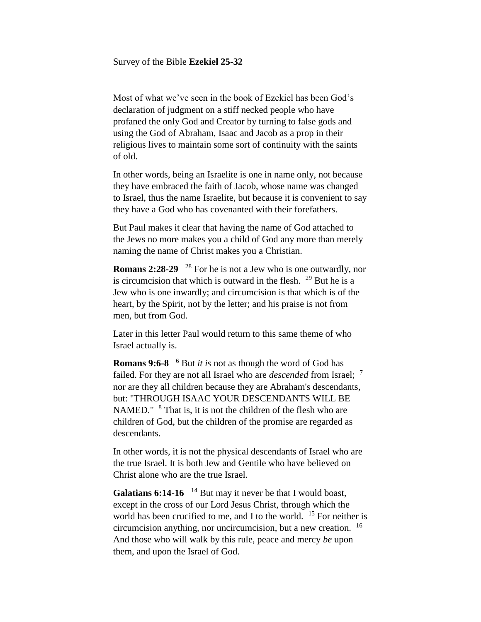Survey of the Bible **Ezekiel 25-32**

Most of what we've seen in the book of Ezekiel has been God's declaration of judgment on a stiff necked people who have profaned the only God and Creator by turning to false gods and using the God of Abraham, Isaac and Jacob as a prop in their religious lives to maintain some sort of continuity with the saints of old.

In other words, being an Israelite is one in name only, not because they have embraced the faith of Jacob, whose name was changed to Israel, thus the name Israelite, but because it is convenient to say they have a God who has covenanted with their forefathers.

But Paul makes it clear that having the name of God attached to the Jews no more makes you a child of God any more than merely naming the name of Christ makes you a Christian.

**Romans 2:28-29** <sup>28</sup> For he is not a Jew who is one outwardly, nor is circumcision that which is outward in the flesh.  $29$  But he is a Jew who is one inwardly; and circumcision is that which is of the heart, by the Spirit, not by the letter; and his praise is not from men, but from God.

Later in this letter Paul would return to this same theme of who Israel actually is.

**Romans 9:6-8** <sup>6</sup> But *it is* not as though the word of God has failed. For they are not all Israel who are *descended* from Israel; <sup>7</sup> nor are they all children because they are Abraham's descendants, but: "THROUGH ISAAC YOUR DESCENDANTS WILL BE NAMED."  $8$  That is, it is not the children of the flesh who are children of God, but the children of the promise are regarded as descendants.

In other words, it is not the physical descendants of Israel who are the true Israel. It is both Jew and Gentile who have believed on Christ alone who are the true Israel.

Galatians 6:14-16 <sup>14</sup> But may it never be that I would boast, except in the cross of our Lord Jesus Christ, through which the world has been crucified to me, and I to the world. <sup>15</sup> For neither is circumcision anything, nor uncircumcision, but a new creation. <sup>16</sup> And those who will walk by this rule, peace and mercy *be* upon them, and upon the Israel of God.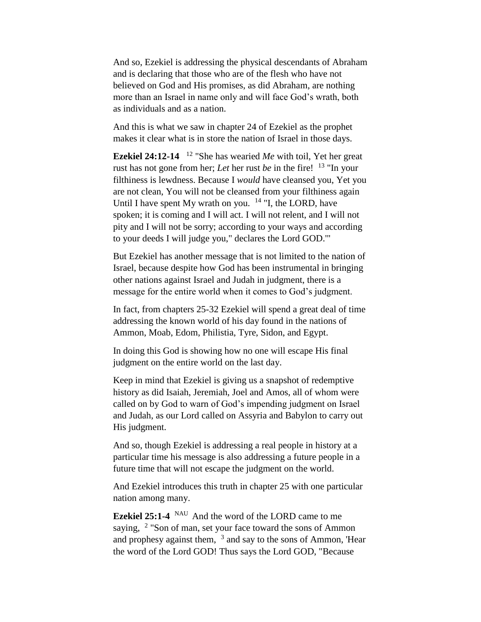And so, Ezekiel is addressing the physical descendants of Abraham and is declaring that those who are of the flesh who have not believed on God and His promises, as did Abraham, are nothing more than an Israel in name only and will face God's wrath, both as individuals and as a nation.

And this is what we saw in chapter 24 of Ezekiel as the prophet makes it clear what is in store the nation of Israel in those days.

**Ezekiel 24:12-14**  <sup>12</sup> "She has wearied *Me* with toil, Yet her great rust has not gone from her; *Let* her rust *be* in the fire! <sup>13</sup> "In your filthiness is lewdness. Because I *would* have cleansed you, Yet you are not clean, You will not be cleansed from your filthiness again Until I have spent My wrath on you.  $14$  "I, the LORD, have spoken; it is coming and I will act. I will not relent, and I will not pity and I will not be sorry; according to your ways and according to your deeds I will judge you," declares the Lord GOD.'"

But Ezekiel has another message that is not limited to the nation of Israel, because despite how God has been instrumental in bringing other nations against Israel and Judah in judgment, there is a message for the entire world when it comes to God's judgment.

In fact, from chapters 25-32 Ezekiel will spend a great deal of time addressing the known world of his day found in the nations of Ammon, Moab, Edom, Philistia, Tyre, Sidon, and Egypt.

In doing this God is showing how no one will escape His final judgment on the entire world on the last day.

Keep in mind that Ezekiel is giving us a snapshot of redemptive history as did Isaiah, Jeremiah, Joel and Amos, all of whom were called on by God to warn of God's impending judgment on Israel and Judah, as our Lord called on Assyria and Babylon to carry out His judgment.

And so, though Ezekiel is addressing a real people in history at a particular time his message is also addressing a future people in a future time that will not escape the judgment on the world.

And Ezekiel introduces this truth in chapter 25 with one particular nation among many.

**Ezekiel 25:1-4** NAU And the word of the LORD came to me saying, <sup>2</sup> "Son of man, set your face toward the sons of Ammon and prophesy against them,  $3$  and say to the sons of Ammon, 'Hear the word of the Lord GOD! Thus says the Lord GOD, "Because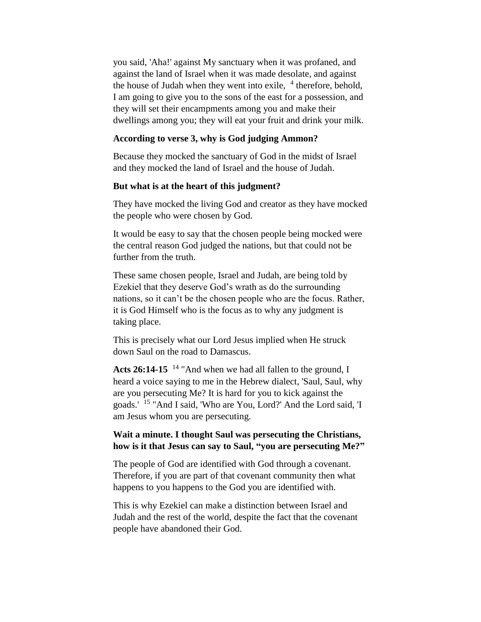you said, 'Aha!' against My sanctuary when it was profaned, and against the land of Israel when it was made desolate, and against the house of Judah when they went into exile,  $4$  therefore, behold, I am going to give you to the sons of the east for a possession, and they will set their encampments among you and make their dwellings among you; they will eat your fruit and drink your milk.

### **According to verse 3, why is God judging Ammon?**

Because they mocked the sanctuary of God in the midst of Israel and they mocked the land of Israel and the house of Judah.

### **But what is at the heart of this judgment?**

They have mocked the living God and creator as they have mocked the people who were chosen by God.

It would be easy to say that the chosen people being mocked were the central reason God judged the nations, but that could not be further from the truth.

These same chosen people, Israel and Judah, are being told by Ezekiel that they deserve God's wrath as do the surrounding nations, so it can't be the chosen people who are the focus. Rather, it is God Himself who is the focus as to why any judgment is taking place.

This is precisely what our Lord Jesus implied when He struck down Saul on the road to Damascus.

Acts 26:14-15<sup>14</sup> "And when we had all fallen to the ground, I heard a voice saying to me in the Hebrew dialect, 'Saul, Saul, why are you persecuting Me? It is hard for you to kick against the goads.' <sup>15</sup> "And I said, 'Who are You, Lord?' And the Lord said, 'I am Jesus whom you are persecuting.

# **Wait a minute. I thought Saul was persecuting the Christians, how is it that Jesus can say to Saul, "you are persecuting Me?"**

The people of God are identified with God through a covenant. Therefore, if you are part of that covenant community then what happens to you happens to the God you are identified with.

This is why Ezekiel can make a distinction between Israel and Judah and the rest of the world, despite the fact that the covenant people have abandoned their God.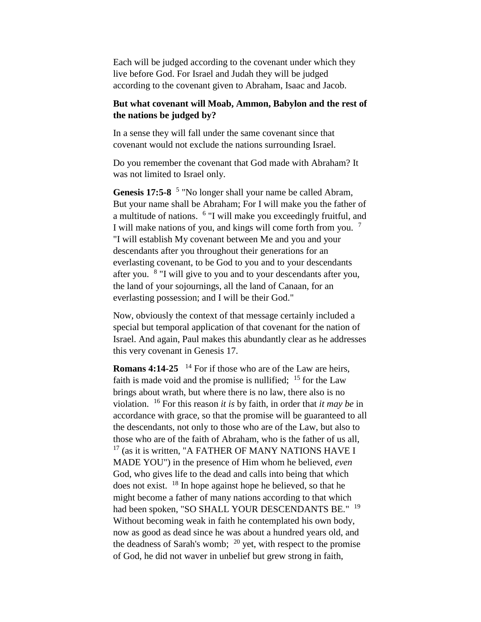Each will be judged according to the covenant under which they live before God. For Israel and Judah they will be judged according to the covenant given to Abraham, Isaac and Jacob.

# **But what covenant will Moab, Ammon, Babylon and the rest of the nations be judged by?**

In a sense they will fall under the same covenant since that covenant would not exclude the nations surrounding Israel.

Do you remember the covenant that God made with Abraham? It was not limited to Israel only.

Genesis 17:5-8 <sup>5</sup> "No longer shall your name be called Abram, But your name shall be Abraham; For I will make you the father of a multitude of nations. <sup>6</sup> "I will make you exceedingly fruitful, and I will make nations of you, and kings will come forth from you.<sup>7</sup> "I will establish My covenant between Me and you and your descendants after you throughout their generations for an everlasting covenant, to be God to you and to your descendants after you. <sup>8</sup> "I will give to you and to your descendants after you, the land of your sojournings, all the land of Canaan, for an everlasting possession; and I will be their God."

Now, obviously the context of that message certainly included a special but temporal application of that covenant for the nation of Israel. And again, Paul makes this abundantly clear as he addresses this very covenant in Genesis 17.

**Romans 4:14-25** <sup>14</sup> For if those who are of the Law are heirs, faith is made void and the promise is nullified;  $15$  for the Law brings about wrath, but where there is no law, there also is no violation. <sup>16</sup> For this reason *it is* by faith, in order that *it may be* in accordance with grace, so that the promise will be guaranteed to all the descendants, not only to those who are of the Law, but also to those who are of the faith of Abraham, who is the father of us all,  $17$  (as it is written, "A FATHER OF MANY NATIONS HAVE I MADE YOU") in the presence of Him whom he believed, *even*  God, who gives life to the dead and calls into being that which does not exist. <sup>18</sup> In hope against hope he believed, so that he might become a father of many nations according to that which had been spoken, "SO SHALL YOUR DESCENDANTS BE." <sup>19</sup> Without becoming weak in faith he contemplated his own body, now as good as dead since he was about a hundred years old, and the deadness of Sarah's womb;  $^{20}$  yet, with respect to the promise of God, he did not waver in unbelief but grew strong in faith,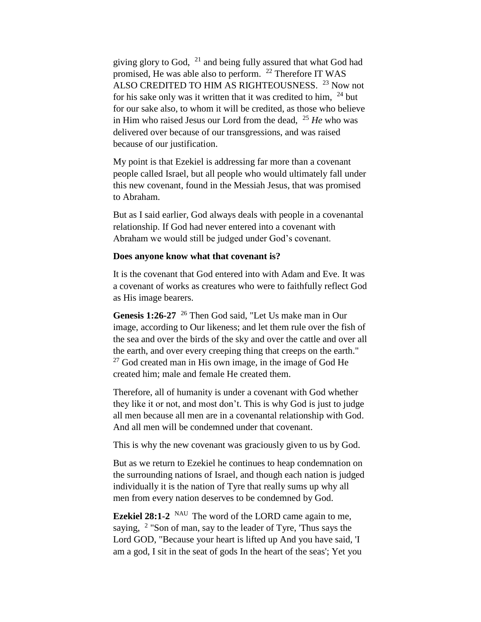giving glory to God, <sup>21</sup> and being fully assured that what God had promised, He was able also to perform. <sup>22</sup> Therefore IT WAS ALSO CREDITED TO HIM AS RIGHTEOUSNESS. <sup>23</sup> Now not for his sake only was it written that it was credited to him,  $24$  but for our sake also, to whom it will be credited, as those who believe in Him who raised Jesus our Lord from the dead, <sup>25</sup> *He* who was delivered over because of our transgressions, and was raised because of our justification.

My point is that Ezekiel is addressing far more than a covenant people called Israel, but all people who would ultimately fall under this new covenant, found in the Messiah Jesus, that was promised to Abraham.

But as I said earlier, God always deals with people in a covenantal relationship. If God had never entered into a covenant with Abraham we would still be judged under God's covenant.

#### **Does anyone know what that covenant is?**

It is the covenant that God entered into with Adam and Eve. It was a covenant of works as creatures who were to faithfully reflect God as His image bearers.

**Genesis 1:26-27** <sup>26</sup> Then God said, "Let Us make man in Our image, according to Our likeness; and let them rule over the fish of the sea and over the birds of the sky and over the cattle and over all the earth, and over every creeping thing that creeps on the earth."  $27$  God created man in His own image, in the image of God He created him; male and female He created them.

Therefore, all of humanity is under a covenant with God whether they like it or not, and most don't. This is why God is just to judge all men because all men are in a covenantal relationship with God. And all men will be condemned under that covenant.

This is why the new covenant was graciously given to us by God.

But as we return to Ezekiel he continues to heap condemnation on the surrounding nations of Israel, and though each nation is judged individually it is the nation of Tyre that really sums up why all men from every nation deserves to be condemned by God.

**Ezekiel 28:1-2** <sup>NAU</sup> The word of the LORD came again to me, saying, <sup>2</sup> "Son of man, say to the leader of Tyre, 'Thus says the Lord GOD, "Because your heart is lifted up And you have said, 'I am a god, I sit in the seat of gods In the heart of the seas'; Yet you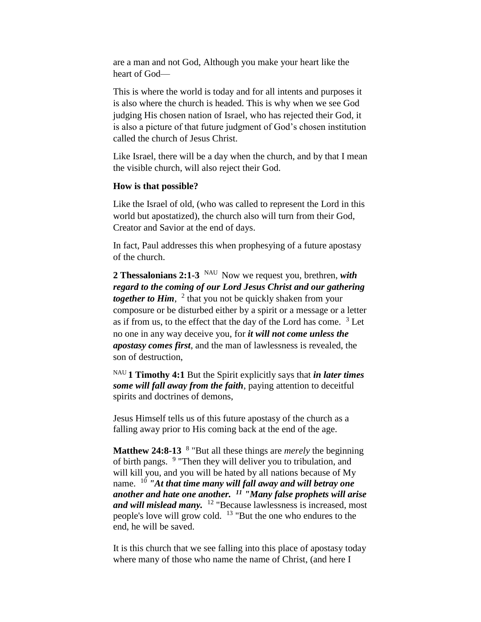are a man and not God, Although you make your heart like the heart of God—

This is where the world is today and for all intents and purposes it is also where the church is headed. This is why when we see God judging His chosen nation of Israel, who has rejected their God, it is also a picture of that future judgment of God's chosen institution called the church of Jesus Christ.

Like Israel, there will be a day when the church, and by that I mean the visible church, will also reject their God.

#### **How is that possible?**

Like the Israel of old, (who was called to represent the Lord in this world but apostatized), the church also will turn from their God, Creator and Savior at the end of days.

In fact, Paul addresses this when prophesying of a future apostasy of the church.

**2 Thessalonians 2:1-3** NAU Now we request you, brethren, *with regard to the coming of our Lord Jesus Christ and our gathering together to Him*, <sup>2</sup> that you not be quickly shaken from your composure or be disturbed either by a spirit or a message or a letter as if from us, to the effect that the day of the Lord has come.  $3$  Let no one in any way deceive you, for *it will not come unless the apostasy comes first*, and the man of lawlessness is revealed, the son of destruction,

NAU **1 Timothy 4:1** But the Spirit explicitly says that *in later times some will fall away from the faith*, paying attention to deceitful spirits and doctrines of demons,

Jesus Himself tells us of this future apostasy of the church as a falling away prior to His coming back at the end of the age.

**Matthew 24:8-13** <sup>8</sup> "But all these things are *merely* the beginning of birth pangs. <sup>9</sup> "Then they will deliver you to tribulation, and will kill you, and you will be hated by all nations because of My name. <sup>10</sup> *"At that time many will fall away and will betray one another and hate one another. <sup>11</sup> "Many false prophets will arise and will mislead many.* <sup>12</sup> "Because lawlessness is increased, most people's love will grow cold. <sup>13</sup> "But the one who endures to the end, he will be saved.

It is this church that we see falling into this place of apostasy today where many of those who name the name of Christ, (and here I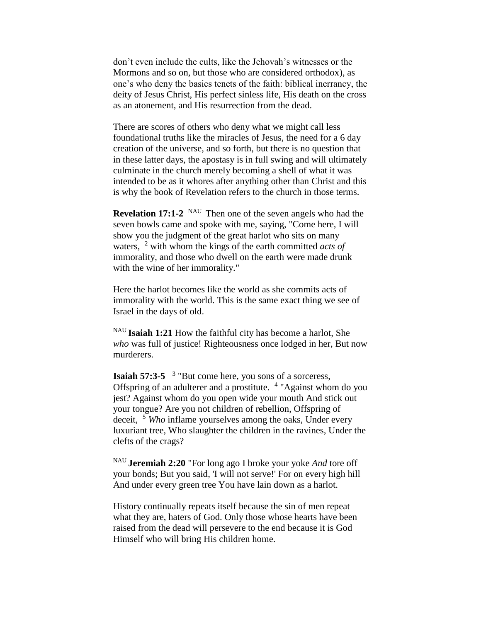don't even include the cults, like the Jehovah's witnesses or the Mormons and so on, but those who are considered orthodox), as one's who deny the basics tenets of the faith: biblical inerrancy, the deity of Jesus Christ, His perfect sinless life, His death on the cross as an atonement, and His resurrection from the dead.

There are scores of others who deny what we might call less foundational truths like the miracles of Jesus, the need for a 6 day creation of the universe, and so forth, but there is no question that in these latter days, the apostasy is in full swing and will ultimately culminate in the church merely becoming a shell of what it was intended to be as it whores after anything other than Christ and this is why the book of Revelation refers to the church in those terms.

**Revelation 17:1-2** <sup>NAU</sup> Then one of the seven angels who had the seven bowls came and spoke with me, saying, "Come here, I will show you the judgment of the great harlot who sits on many waters, <sup>2</sup> with whom the kings of the earth committed *acts of* immorality, and those who dwell on the earth were made drunk with the wine of her immorality."

Here the harlot becomes like the world as she commits acts of immorality with the world. This is the same exact thing we see of Israel in the days of old.

NAU **Isaiah 1:21** How the faithful city has become a harlot, She *who* was full of justice! Righteousness once lodged in her, But now murderers.

**Isaiah 57:3-5** <sup>3</sup> "But come here, you sons of a sorceress, Offspring of an adulterer and a prostitute. <sup>4</sup> "Against whom do you jest? Against whom do you open wide your mouth And stick out your tongue? Are you not children of rebellion, Offspring of deceit, <sup>5</sup> *Who* inflame yourselves among the oaks, Under every luxuriant tree, Who slaughter the children in the ravines, Under the clefts of the crags?

NAU **Jeremiah 2:20** "For long ago I broke your yoke *And* tore off your bonds; But you said, 'I will not serve!' For on every high hill And under every green tree You have lain down as a harlot.

History continually repeats itself because the sin of men repeat what they are, haters of God. Only those whose hearts have been raised from the dead will persevere to the end because it is God Himself who will bring His children home.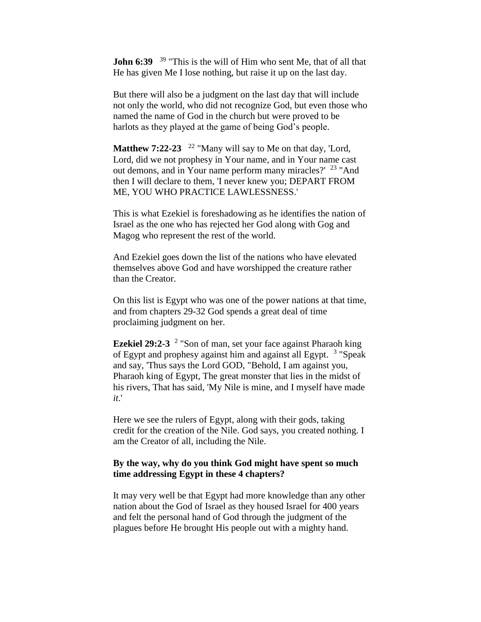**John 6:39** <sup>39</sup> "This is the will of Him who sent Me, that of all that He has given Me I lose nothing, but raise it up on the last day.

But there will also be a judgment on the last day that will include not only the world, who did not recognize God, but even those who named the name of God in the church but were proved to be harlots as they played at the game of being God's people.

Matthew 7:22-23 <sup>22</sup> "Many will say to Me on that day, 'Lord, Lord, did we not prophesy in Your name, and in Your name cast out demons, and in Your name perform many miracles?' <sup>23</sup> "And then I will declare to them, 'I never knew you; DEPART FROM ME, YOU WHO PRACTICE LAWLESSNESS.'

This is what Ezekiel is foreshadowing as he identifies the nation of Israel as the one who has rejected her God along with Gog and Magog who represent the rest of the world.

And Ezekiel goes down the list of the nations who have elevated themselves above God and have worshipped the creature rather than the Creator.

On this list is Egypt who was one of the power nations at that time, and from chapters 29-32 God spends a great deal of time proclaiming judgment on her.

**Ezekiel 29:2-3** <sup>2</sup> "Son of man, set your face against Pharaoh king of Egypt and prophesy against him and against all Egypt. <sup>3</sup> "Speak and say, 'Thus says the Lord GOD, "Behold, I am against you, Pharaoh king of Egypt, The great monster that lies in the midst of his rivers, That has said, 'My Nile is mine, and I myself have made *it*.'

Here we see the rulers of Egypt, along with their gods, taking credit for the creation of the Nile. God says, you created nothing. I am the Creator of all, including the Nile.

### **By the way, why do you think God might have spent so much time addressing Egypt in these 4 chapters?**

It may very well be that Egypt had more knowledge than any other nation about the God of Israel as they housed Israel for 400 years and felt the personal hand of God through the judgment of the plagues before He brought His people out with a mighty hand.